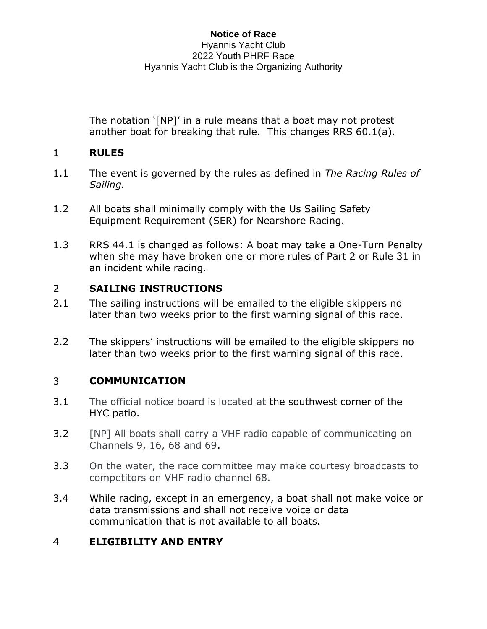#### **Notice of Race** Hyannis Yacht Club 2022 Youth PHRF Race Hyannis Yacht Club is the Organizing Authority

The notation '[NP]' in a rule means that a boat may not protest another boat for breaking that rule. This changes RRS 60.1(a).

## 1 **RULES**

- 1.1 The event is governed by the rules as defined in *The Racing Rules of Sailing.*
- 1.2 All boats shall minimally comply with the Us Sailing Safety Equipment Requirement (SER) for Nearshore Racing.
- 1.3 RRS 44.1 is changed as follows: A boat may take a One-Turn Penalty when she may have broken one or more rules of Part 2 or Rule 31 in an incident while racing.

### 2 **SAILING INSTRUCTIONS**

- 2.1 The sailing instructions will be emailed to the eligible skippers no later than two weeks prior to the first warning signal of this race.
- 2.2 The skippers' instructions will be emailed to the eligible skippers no later than two weeks prior to the first warning signal of this race.

### 3 **COMMUNICATION**

- 3.1 The official notice board is located at the southwest corner of the HYC patio.
- 3.2 [NP] All boats shall carry a VHF radio capable of communicating on Channels 9, 16, 68 and 69.
- 3.3 On the water, the race committee may make courtesy broadcasts to competitors on VHF radio channel 68.
- 3.4 While racing, except in an emergency, a boat shall not make voice or data transmissions and shall not receive voice or data communication that is not available to all boats.

# 4 **ELIGIBILITY AND ENTRY**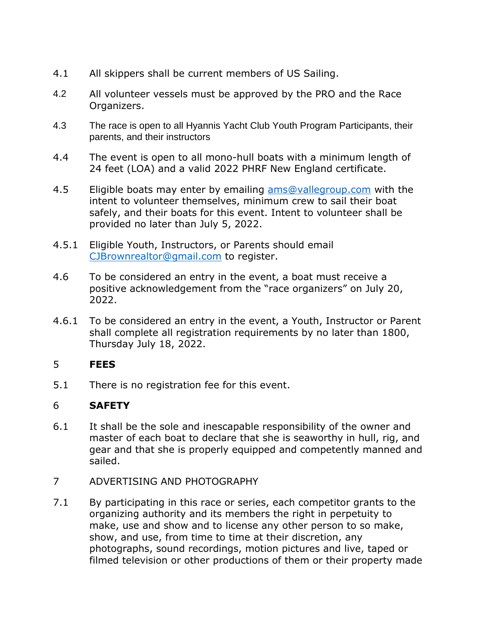- 4.1 All skippers shall be current members of US Sailing.
- 4.2 All volunteer vessels must be approved by the PRO and the Race Organizers.
- 4.3 The race is open to all Hyannis Yacht Club Youth Program Participants, their parents, and their instructors
- 4.4 The event is open to all mono-hull boats with a minimum length of 24 feet (LOA) and a valid 2022 PHRF New England certificate.
- 4.5 Eligible boats may enter by emailing [ams@vallegroup.com](mailto:ams@vallegroup.com) with the intent to volunteer themselves, minimum crew to sail their boat safely, and their boats for this event. Intent to volunteer shall be provided no later than July 5, 2022.
- 4.5.1 Eligible Youth, Instructors, or Parents should email [CJBrownrealtor@gmail.com](mailto:CJBrownrealtor@gmail.com) to register.
- 4.6 To be considered an entry in the event, a boat must receive a positive acknowledgement from the "race organizers" on July 20, 2022.
- 4.6.1 To be considered an entry in the event, a Youth, Instructor or Parent shall complete all registration requirements by no later than 1800, Thursday July 18, 2022.

#### 5 **FEES**

5.1 There is no registration fee for this event.

### 6 **SAFETY**

- 6.1 It shall be the sole and inescapable responsibility of the owner and master of each boat to declare that she is seaworthy in hull, rig, and gear and that she is properly equipped and competently manned and sailed.
- 7 ADVERTISING AND PHOTOGRAPHY
- 7.1 By participating in this race or series, each competitor grants to the organizing authority and its members the right in perpetuity to make, use and show and to license any other person to so make, show, and use, from time to time at their discretion, any photographs, sound recordings, motion pictures and live, taped or filmed television or other productions of them or their property made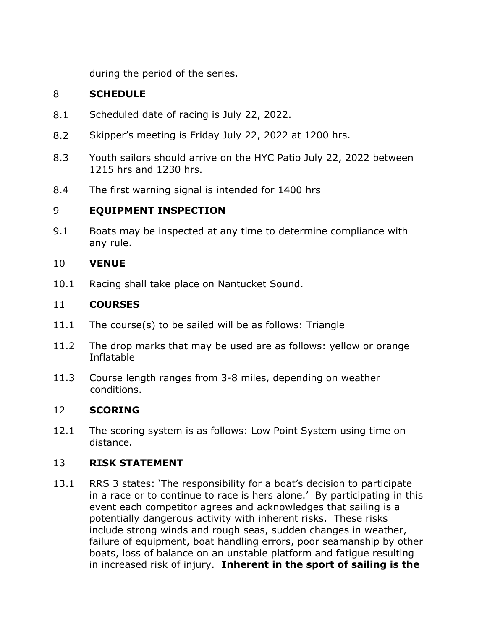during the period of the series.

## 8 **SCHEDULE**

- 8.1 Scheduled date of racing is July 22, 2022.
- 8.2 Skipper's meeting is Friday July 22, 2022 at 1200 hrs.
- 8.3 Youth sailors should arrive on the HYC Patio July 22, 2022 between 1215 hrs and 1230 hrs.
- 8.4 The first warning signal is intended for 1400 hrs

### 9 **EQUIPMENT INSPECTION**

9.1 Boats may be inspected at any time to determine compliance with any rule.

#### 10 **VENUE**

10.1 Racing shall take place on Nantucket Sound.

#### 11 **COURSES**

- 11.1 The course(s) to be sailed will be as follows: Triangle
- 11.2 The drop marks that may be used are as follows: yellow or orange Inflatable
- 11.3 Course length ranges from 3-8 miles, depending on weather conditions.

#### 12 **SCORING**

12.1 The scoring system is as follows: Low Point System using time on distance.

#### 13 **RISK STATEMENT**

13.1 RRS 3 states: 'The responsibility for a boat's decision to participate in a race or to continue to race is hers alone.' By participating in this event each competitor agrees and acknowledges that sailing is a potentially dangerous activity with inherent risks. These risks include strong winds and rough seas, sudden changes in weather, failure of equipment, boat handling errors, poor seamanship by other boats, loss of balance on an unstable platform and fatigue resulting in increased risk of injury. **Inherent in the sport of sailing is the**